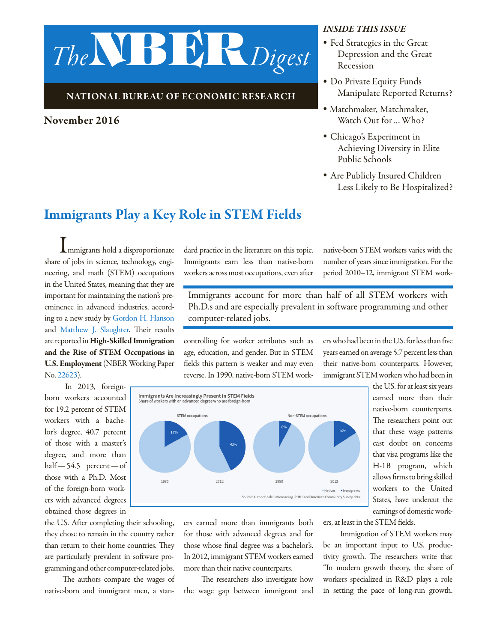# *The*NBER*Digest*

#### NATIONAL BUREAU OF ECONOMIC RESEARCH

#### November 2016

#### *INSIDE THIS ISSUE*

- *•* Fed Strategies in the Great Depression and the Great Recession
- *•* Do Private Equity Funds Manipulate Reported Returns?
- *•* Matchmaker, Matchmaker, Watch Out for…Who?
- *•* Chicago's Experiment in Achieving Diversity in Elite Public Schools
- *•* Are Publicly Insured Children Less Likely to Be Hospitalized?

## Immigrants Play a Key Role in STEM Fields

Immigrants hold a disproportionate share of jobs in science, technology, engineering, and math (STEM) occupations in the United States, meaning that they are important for maintaining the nation's preeminence in advanced industries, according to a new study by [Gordon H. Hanson](http://www.nber.org/people/gordon_hanson) and [Matthew J. Slaughter](http://www.nber.org/people/matthew_slaughter). Their results are reported in High-Skilled Immigration and the Rise of STEM Occupations in U.S. Employment (NBER Working Paper No. [22623](http://www.nber.org/papers/w22623)).

In 2013, foreignborn workers accounted for 19.2 percent of STEM workers with a bachelor's degree, 40.7 percent of those with a master's degree, and more than half—54.5 percent—of those with a Ph.D. Most of the foreign-born workers with advanced degrees obtained those degrees in

the U.S. After completing their schooling, they chose to remain in the country rather than return to their home countries. They are particularly prevalent in software programming and other computer-related jobs.

The authors compare the wages of native-born and immigrant men, a standard practice in the literature on this topic. Immigrants earn less than native-born workers across most occupations, even after native-born STEM workers varies with the number of years since immigration. For the period 2010–12, immigrant STEM work-

Immigrants account for more than half of all STEM workers with Ph.D.s and are especially prevalent in software programming and other computer-related jobs.

controlling for worker attributes such as age, education, and gender. But in STEM fields this pattern is weaker and may even reverse. In 1990, native-born STEM workers who had been in the U.S. for less than five years earned on average 5.7 percent less than their native-born counterparts. However, immigrant STEM workers who had been in



The researchers point out that these wage patterns cast doubt on concerns that visa programs like the H-1B program, which allows firms to bring skilled workers to the United States, have undercut the earnings of domestic work-

the U.S. for at least six years earned more than their native-born counterparts.

ers earned more than immigrants both for those with advanced degrees and for those whose final degree was a bachelor's. In 2012, immigrant STEM workers earned more than their native counterparts.

The researchers also investigate how the wage gap between immigrant and ers, at least in the STEM fields.

Immigration of STEM workers may be an important input to U.S. productivity growth. The researchers write that "In modern growth theory, the share of workers specialized in R&D plays a role in setting the pace of long-run growth.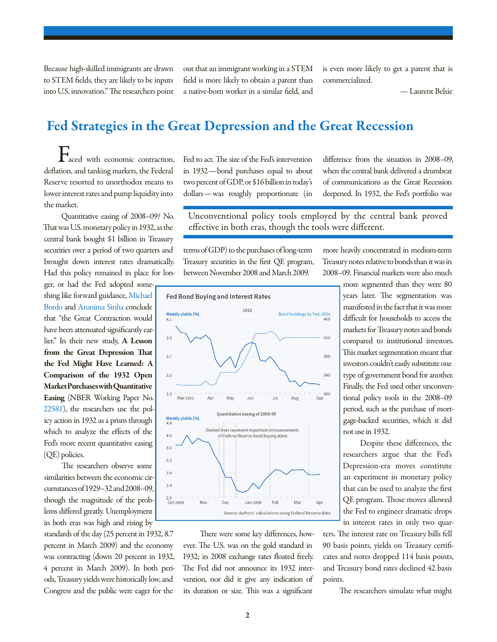Because high-skilled immigrants are drawn to STEM fields, they are likely to be inputs into U.S. innovation." The researchers point out that an immigrant working in a STEM field is more likely to obtain a patent than a native-born worker in a similar field, and

is even more likely to get a patent that is commercialized.

— Laurent Belsie

## Fed Strategies in the Great Depression and the Great Recession

 $\Gamma$ aced with economic contraction, deflation, and tanking markets, the Federal Reserve resorted to unorthodox means to lower interest rates and pump liquidity into the market.

 Quantitative easing of 2008–09? No. That was U.S. monetary policy in 1932, as the central bank bought \$1 billion in Treasury securities over a period of two quarters and brought down interest rates dramatically. Had this policy remained in place for lon-

ger, or had the Fed adopted something like forward guidance, [Michael](http://www.nber.org/people/michael_bordo)  [Bordo a](http://www.nber.org/people/michael_bordo)nd [Arunima Sinha c](http://www.nber.org/people/arunima_sinha)onclude that "the Great Contraction would have been attenuated significantly earlier." In their new study, A Lesson from the Great Depression That the Fed Might Have Learned: A Comparison of the 1932 Open Market Purchases with Quantitative Easing (NBER Working Paper No. [22581](http://www.nber.org/papers/w22581)), the researchers use the policy action in 1932 as a prism through which to analyze the effects of the Fed's more recent quantitative easing (QE) policies.

 The researchers observe some similarities between the economic circumstances of 1929–32 and 2008–09, though the magnitude of the problems differed greatly. Unemployment in both eras was high and rising by

standards of the day (25 percent in 1932, 8.7 percent in March 2009) and the economy was contracting (down 20 percent in 1932, 4 percent in March 2009). In both periods, Treasury yields were historically low, and Congress and the public were eager for the

Fed to act. The size of the Fed's intervention in 1932—bond purchases equal to about two percent of GDP, or \$16 billion in today's dollars—was roughly proportionate (in

difference from the situation in 2008–09, when the central bank delivered a drumbeat of communications as the Great Recession deepened. In 1932, the Fed's portfolio was

Unconventional policy tools employed by the central bank proved effective in both eras, though the tools were different.

terms of GDP) to the purchases of long-term Treasury securities in the first QE program, between November 2008 and March 2009.



 There were some key differences, however. The U.S. was on the gold standard in 1932; in 2008 exchange rates floated freely. The Fed did not announce its 1932 intervention, nor did it give any indication of its duration or size. This was a significant

more heavily concentrated in medium-term Treasury notes relative to bonds than it was in 2008–09. Financial markets were also much

> more segmented than they were 80 years later. The segmentation was manifested in the fact that it was more difficult for households to access the markets for Treasury notes and bonds compared to institutional investors. This market segmentation meant that investors couldn't easily substitute one type of government bond for another. Finally, the Fed used other unconventional policy tools in the 2008–09 period, such as the purchase of mortgage-backed securities, which it did not use in 1932.

> Despite these differences, the researchers argue that the Fed's Depression-era moves constitute an experiment in monetary policy that can be used to analyze the first QE program. Those moves allowed the Fed to engineer dramatic drops in interest rates in only two quar-

ters. The interest rate on Treasury bills fell 90 basis points, yields on Treasury certificates and notes dropped 114 basis points, and Treasury bond rates declined 42 basis points.

The researchers simulate what might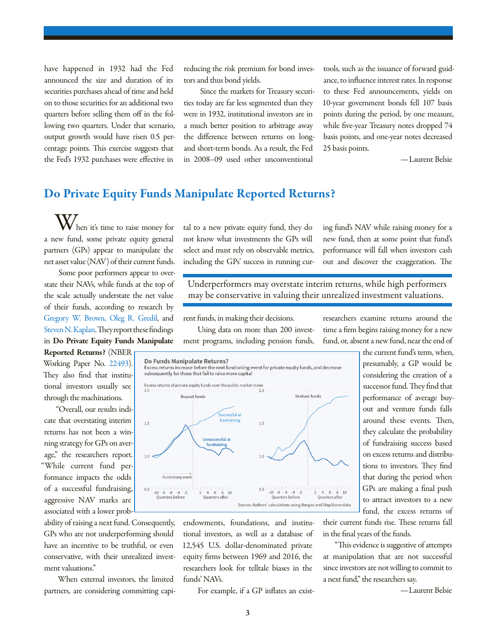have happened in 1932 had the Fed announced the size and duration of its securities purchases ahead of time and held on to those securities for an additional two quarters before selling them off in the following two quarters. Under that scenario, output growth would have risen 0.5 percentage points. This exercise suggests that the Fed's 1932 purchases were effective in

reducing the risk premium for bond investors and thus bond yields.

 Since the markets for Treasury securities today are far less segmented than they were in 1932, institutional investors are in a much better position to arbitrage away the difference between returns on longand short-term bonds. As a result, the Fed in 2008–09 used other unconventional

tools, such as the issuance of forward guidance, to influence interest rates. In response to these Fed announcements, yields on 10-year government bonds fell 107 basis points during the period, by one measure, while five-year Treasury notes dropped 74 basis points, and one-year notes decreased 25 basis points.

—Laurent Belsie

## Do Private Equity Funds Manipulate Reported Returns?

 $\bigvee$  hen it's time to raise money for a new fund, some private equity general partners (GPs) appear to manipulate the net asset value (NAV) of their current funds.

Some poor performers appear to overstate their NAVs, while funds at the top of the scale actually understate the net value of their funds, according to research by [Gregory W. Brown,](http://www.nber.org/people/gregory_brown) [Oleg R. Gredil,](http://www.nber.org/people/oleg_gredil) and [Steven N. Kaplan](http://www.nber.org/people/steven_kaplan). They report these findings in Do Private Equity Funds Manipulate

Reported Returns? (NBER Working Paper No. [22493](http://www.nber.org/papers/w22493)). They also find that institutional investors usually see through the machinations.

"Overall, our results indicate that overstating interim returns has not been a winning strategy for GPs on average," the researchers report. "While current fund performance impacts the odds of a successful fundraising, aggressive NAV marks are associated with a lower prob-

ability of raising a next fund. Consequently, GPs who are not underperforming should have an incentive to be truthful, or even conservative, with their unrealized investment valuations."

When external investors, the limited partners, are considering committing capi-

tal to a new private equity fund, they do not know what investments the GPs will select and must rely on observable metrics, including the GPs' success in running curing fund's NAV while raising money for a new fund, then at some point that fund's performance will fall when investors cash out and discover the exaggeration. The

Underperformers may overstate interim returns, while high performers may be conservative in valuing their unrealized investment valuations.

rent funds, in making their decisions.

Using data on more than 200 investment programs, including pension funds,



endowments, foundations, and institutional investors, as well as a database of 12,545 U.S. dollar-denominated private equity firms between 1969 and 2016, the researchers look for telltale biases in the funds' NAVs.

For example, if a GP inflates an exist-

researchers examine returns around the time a firm begins raising money for a new fund, or, absent a new fund, near the end of

> the current fund's term, when, presumably, a GP would be considering the creation of a successor fund. They find that performance of average buyout and venture funds falls around these events. Then, they calculate the probability of fundraising success based on excess returns and distributions to investors. They find that during the period when GPs are making a final push to attract investors to a new fund, the excess returns of

their current funds rise. These returns fall in the final years of the funds.

"This evidence is suggestive of attempts at manipulation that are not successful since investors are not willing to commit to a next fund," the researchers say.

—Laurent Belsie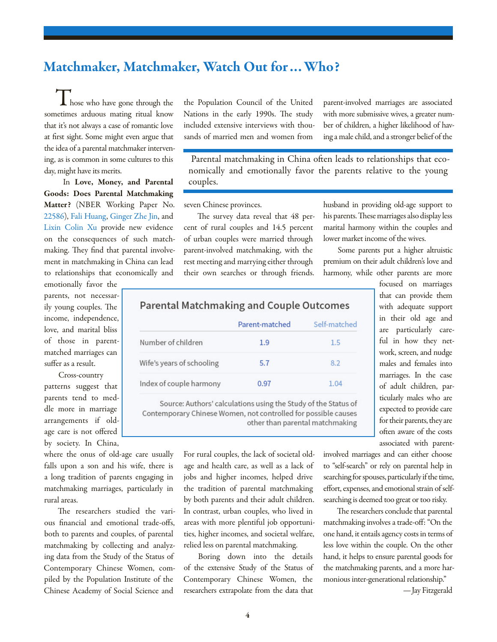## Matchmaker, Matchmaker, Watch Out for…Who?

 $\blacksquare$  hose who have gone through the sometimes arduous mating ritual know that it's not always a case of romantic love at first sight. Some might even argue that the idea of a parental matchmaker intervening, as is common in some cultures to this day, might have its merits.

 In Love, Money, and Parental Goods: Does Parental Matchmaking Matter? (NBER Working Paper No. [22586](http://www.nber.org/papers/w22586)), [Fali Huang](http://www.nber.org/people/fali_huang), [Ginger Zhe Jin](http://www.nber.org/people/ginger_jin), and [Lixin Colin Xu](http://www.nber.org/people/lixin_xu) provide new evidence on the consequences of such matchmaking. They find that parental involvement in matchmaking in China can lead to relationships that economically and

emotionally favor the parents, not necessarily young couples. The income, independence, love, and marital bliss of those in parentmatched marriages can suffer as a result.

Cross-country patterns suggest that parents tend to meddle more in marriage arrangements if oldage care is not offered by society. In China,

where the onus of old-age care usually falls upon a son and his wife, there is a long tradition of parents engaging in matchmaking marriages, particularly in rural areas.

The researchers studied the various financial and emotional trade-offs, both to parents and couples, of parental matchmaking by collecting and analyzing data from the Study of the Status of Contemporary Chinese Women, compiled by the Population Institute of the Chinese Academy of Social Science and

the Population Council of the United Nations in the early 1990s. The study included extensive interviews with thousands of married men and women from

parent-involved marriages are associated with more submissive wives, a greater number of children, a higher likelihood of having a male child, and a stronger belief of the

 Parental matchmaking in China often leads to relationships that economically and emotionally favor the parents relative to the young couples.

seven Chinese provinces.

The survey data reveal that 48 percent of rural couples and 14.5 percent of urban couples were married through parent-involved matchmaking, with the rest meeting and marrying either through their own searches or through friends.

husband in providing old-age support to his parents. These marriages also display less marital harmony within the couples and lower market income of the wives.

Some parents put a higher altruistic premium on their adult children's love and harmony, while other parents are more

> focused on marriages that can provide them with adequate support in their old age and are particularly careful in how they network, screen, and nudge males and females into marriages. In the case of adult children, particularly males who are expected to provide care for their parents, they are often aware of the costs associated with parent-

### **Parental Matchmaking and Couple Outcomes**

|                           | Parent-matched | Self-matched |
|---------------------------|----------------|--------------|
| Number of children        | 19             | 1.5          |
| Wife's years of schooling | 5.7            | 8.2          |
| Index of couple harmony   | በ 97           | 1.04         |

Source: Authors' calculations using the Study of the Status of Contemporary Chinese Women, not controlled for possible causes other than parental matchmaking

> For rural couples, the lack of societal oldage and health care, as well as a lack of jobs and higher incomes, helped drive the tradition of parental matchmaking by both parents and their adult children. In contrast, urban couples, who lived in areas with more plentiful job opportunities, higher incomes, and societal welfare, relied less on parental matchmaking.

> Boring down into the details of the extensive Study of the Status of Contemporary Chinese Women, the researchers extrapolate from the data that

involved marriages and can either choose to "self-search" or rely on parental help in searching for spouses, particularly if the time, effort, expenses, and emotional strain of selfsearching is deemed too great or too risky.

The researchers conclude that parental matchmaking involves a trade-off: "On the one hand, it entails agency costs in terms of less love within the couple. On the other hand, it helps to ensure parental goods for the matchmaking parents, and a more harmonious inter-generational relationship."

—Jay Fitzgerald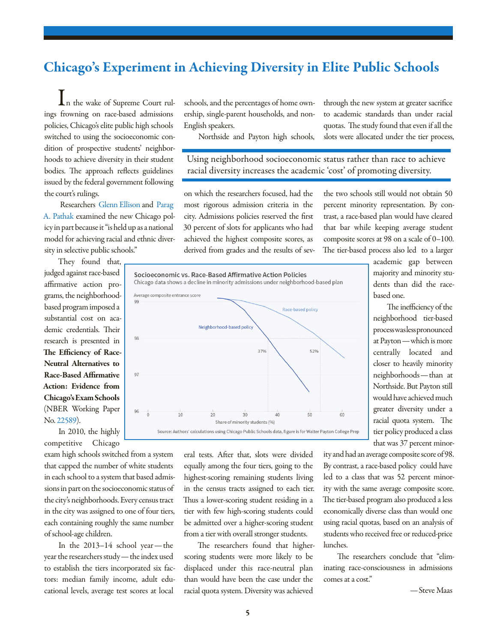# Chicago's Experiment in Achieving Diversity in Elite Public Schools

In the wake of Supreme Court rulings frowning on race-based admissions policies, Chicago's elite public high schools switched to using the socioeconomic condition of prospective students' neighborhoods to achieve diversity in their student bodies. The approach reflects guidelines issued by the federal government following the court's rulings.

 Researchers [Glenn Ellison a](http://www.nber.org/people/glenn_ellison)nd [Parag](http://www.nber.org/people/parag_pathak)  [A. Pathak e](http://www.nber.org/people/parag_pathak)xamined the new Chicago policy in part because it "is held up as a national model for achieving racial and ethnic diversity in selective public schools."

They found that, judged against race-based affirmative action programs, the neighborhoodbased program imposed a substantial cost on academic credentials. Their research is presented in The Efficiency of Race-Neutral Alternatives to Race-Based Affirmative Action: Evidence from Chicago's Exam Schools (NBER Working Paper No. [22589](http://www.nber.org/papers/w22589)).

In 2010, the highly competitive Chicago

exam high schools switched from a system that capped the number of white students in each school to a system that based admissions in part on the socioeconomic status of the city's neighborhoods. Every census tract in the city was assigned to one of four tiers, each containing roughly the same number of school-age children.

In the 2013–14 school year—the year the researchers study—the index used to establish the tiers incorporated six factors: median family income, adult educational levels, average test scores at local

schools, and the percentages of home ownership, single-parent households, and non-English speakers.

Northside and Payton high schools,

through the new system at greater sacrifice to academic standards than under racial quotas. The study found that even if all the slots were allocated under the tier process,

Using neighborhood socioeconomic status rather than race to achieve racial diversity increases the academic 'cost' of promoting diversity.

on which the researchers focused, had the most rigorous admission criteria in the city. Admissions policies reserved the first 30 percent of slots for applicants who had achieved the highest composite scores, as derived from grades and the results of sev-

the two schools still would not obtain 50 percent minority representation. By contrast, a race-based plan would have cleared that bar while keeping average student composite scores at 98 on a scale of 0–100. The tier-based process also led to a larger



eral tests. After that, slots were divided equally among the four tiers, going to the highest-scoring remaining students living in the census tracts assigned to each tier. Thus a lower-scoring student residing in a tier with few high-scoring students could be admitted over a higher-scoring student from a tier with overall stronger students.

The researchers found that higherscoring students were more likely to be displaced under this race-neutral plan than would have been the case under the racial quota system. Diversity was achieved

academic gap between majority and minority students than did the racebased one.

The inefficiency of the neighborhood tier-based process was less pronounced at Payton—which is more centrally located and closer to heavily minority neighborhoods—than at Northside. But Payton still would have achieved much greater diversity under a racial quota system. The tier policy produced a class that was 37 percent minor-

ity and had an average composite score of 98. By contrast, a race-based policy could have led to a class that was 52 percent minority with the same average composite score. The tier-based program also produced a less economically diverse class than would one using racial quotas, based on an analysis of students who received free or reduced-price lunches.

The researchers conclude that "eliminating race-consciousness in admissions comes at a cost."

—Steve Maas